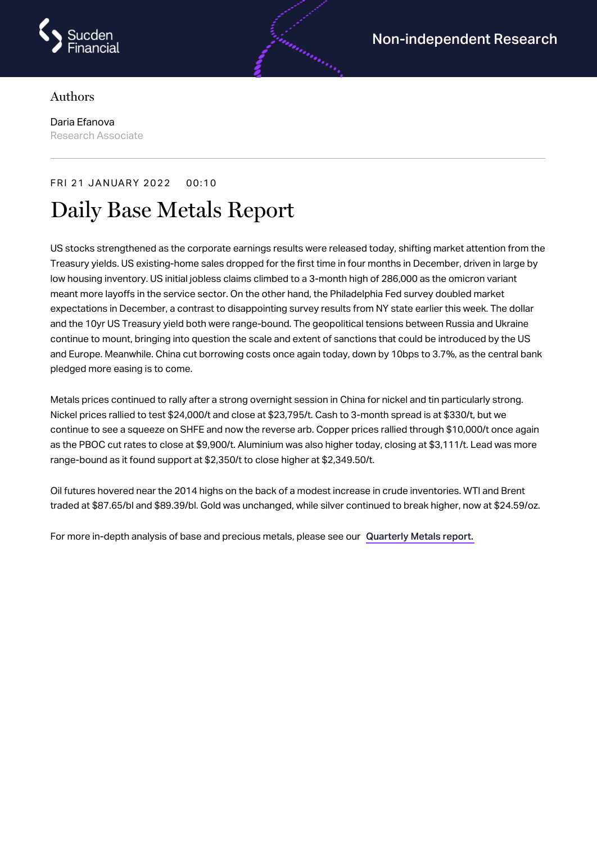

## Authors

Daria Efanova Research Associate

## FRI 21 JANUARY 2022 00:10

# Daily Base Metals Report

US stocks strengthened as the corporate earnings results were released today, shifting market attention from the Treasury yields. US existing-home sales dropped for the first time in four months in December, driven in large by low housing inventory. US initial jobless claims climbed to a 3-month high of 286,000 as the omicron variant meant more layoffs in the service sector. On the other hand, the Philadelphia Fed survey doubled market expectations in December, a contrast to disappointing survey results from NY state earlier this week. The dollar and the 10yr US Treasury yield both were range-bound. The geopolitical tensions between Russia and Ukraine continue to mount, bringing into question the scale and extent of sanctions that could be introduced by the US and Europe. Meanwhile. China cut borrowing costs once again today, down by 10bps to 3.7%, as the central bank pledged more easing is to come.

Metals prices continued to rally after a strong overnight session in China for nickel and tin particularly strong. Nickel prices rallied to test \$24,000/t and close at \$23,795/t. Cash to 3-month spread is at \$330/t, but we continue to see a squeeze on SHFE and now the reverse arb. Copper prices rallied through \$10,000/t once again as the PBOC cut rates to close at \$9,900/t. Aluminium was also higher today, closing at \$3,111/t. Lead was more range-bound as it found support at \$2,350/t to close higher at \$2,349.50/t.

Oil futures hovered near the 2014 highs on the back of a modest increase in crude inventories. WTI and Brent traded at \$87.65/bl and \$89.39/bl. Gold was unchanged, while silver continued to break higher, now at \$24.59/oz.

For more in-depth analysis of base and precious metals, please see our [Quarterly](https://www.sucdenfinancial.com/en/reports/quarterly-metals/qmr-q4-2021/) Metals report.